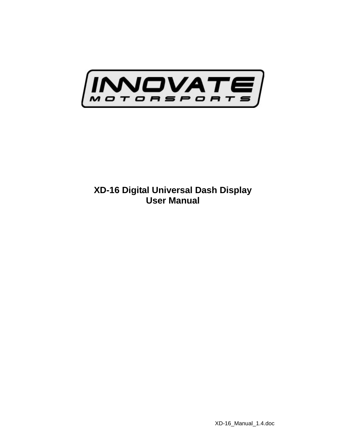

## **XD-16 Digital Universal Dash Display User Manual**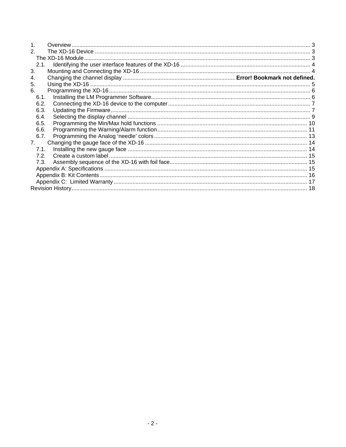| $\mathbf 1$    |  |  |  |  |
|----------------|--|--|--|--|
| 2.             |  |  |  |  |
|                |  |  |  |  |
| 2.1.           |  |  |  |  |
| 3.             |  |  |  |  |
|                |  |  |  |  |
| 5.             |  |  |  |  |
| 6.             |  |  |  |  |
| 6.1.           |  |  |  |  |
| 6.2.           |  |  |  |  |
| 6.3.           |  |  |  |  |
| 6.4.           |  |  |  |  |
| 6.5.           |  |  |  |  |
| 6.6.           |  |  |  |  |
| 6.7.           |  |  |  |  |
| 7 <sup>1</sup> |  |  |  |  |
| 7.1.           |  |  |  |  |
| 7.2.           |  |  |  |  |
| 7.3.           |  |  |  |  |
|                |  |  |  |  |
|                |  |  |  |  |
|                |  |  |  |  |
|                |  |  |  |  |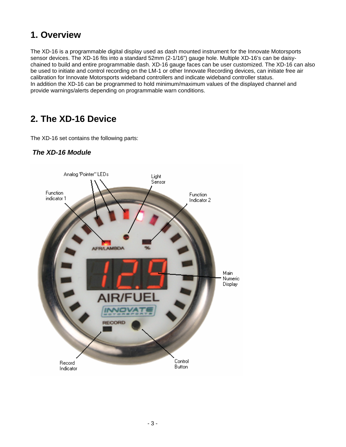## **1. Overview**

The XD-16 is a programmable digital display used as dash mounted instrument for the Innovate Motorsports sensor devices. The XD-16 fits into a standard 52mm (2-1/16") gauge hole. Multiple XD-16's can be daisychained to build and entire programmable dash. XD-16 gauge faces can be user customized. The XD-16 can also be used to initiate and control recording on the LM-1 or other Innovate Recording devices, can initiate free air calibration for Innovate Motorsports wideband controllers and indicate wideband controller status. In addition the XD-16 can be programmed to hold minimum/maximum values of the displayed channel and provide warnings/alerts depending on programmable warn conditions.

## **2. The XD-16 Device**

The XD-16 set contains the following parts:



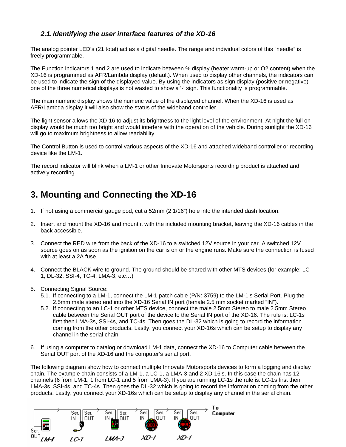## *2.1. Identifying the user interface features of the XD-16*

The analog pointer LED's (21 total) act as a digital needle. The range and individual colors of this "needle" is freely programmable.

The Function indicators 1 and 2 are used to indicate between % display (heater warm-up or O2 content) when the XD-16 is programmed as AFR/Lambda display (default). When used to display other channels, the indicators can be used to indicate the sign of the displayed value. By using the indicators as sign display (positive or negative) one of the three numerical displays is not wasted to show a '-' sign. This functionality is programmable.

The main numeric display shows the numeric value of the displayed channel. When the XD-16 is used as AFR/Lambda display it will also show the status of the wideband controller.

The light sensor allows the XD-16 to adjust its brightness to the light level of the environment. At night the full on display would be much too bright and would interfere with the operation of the vehicle. During sunlight the XD-16 will go to maximum brightness to allow readability.

The Control Button is used to control various aspects of the XD-16 and attached wideband controller or recording device like the LM-1.

The record indicator will blink when a LM-1 or other Innovate Motorsports recording product is attached and actively recording.

## **3. Mounting and Connecting the XD-16**

- 1. If not using a commercial gauge pod, cut a 52mm (2 1/16") hole into the intended dash location.
- 2. Insert and mount the XD-16 and mount it with the included mounting bracket, leaving the XD-16 cables in the back accessible.
- 3. Connect the RED wire from the back of the XD-16 to a switched 12V source in your car. A switched 12V source goes on as soon as the ignition on the car is on or the engine runs. Make sure the connection is fused with at least a 2A fuse.
- 4. Connect the BLACK wire to ground. The ground should be shared with other MTS devices (for example: LC-1, DL-32, SSI-4, TC-4, LMA-3, etc…)
- 5. Connecting Signal Source:
	- 5.1. If connecting to a LM-1, connect the LM-1 patch cable (P/N: 3759) to the LM-1's Serial Port. Plug the 2.5mm male stereo end into the XD-16 Serial IN port (female 2.5 mm socket marked "IN").
	- 5.2. If connecting to an LC-1 or other MTS device, connect the male 2.5mm Stereo to male 2.5mm Stereo cable between the Serial OUT port of the device to the Serial IN port of the XD-16. The rule is: LC-1s first then LMA-3s, SSI-4s, and TC-4s. Then goes the DL-32 which is going to record the information coming from the other products. Lastly, you connect your XD-16s which can be setup to display any channel in the serial chain.
- 6. If using a computer to datalog or download LM-1 data, connect the XD-16 to Computer cable between the Serial OUT port of the XD-16 and the computer's serial port.

The following diagram show how to connect multiple Innovate Motorsports devices to form a logging and display chain. The example chain consists of a LM-1, a LC-1, a LMA-3 and 2 XD-16's. In this case the chain has 12 channels (6 from LM-1, 1 from LC-1 and 5 from LMA-3). If you are running LC-1s the rule is: LC-1s first then LMA-3s, SSI-4s, and TC-4s. Then goes the DL-32 which is going to record the information coming from the other products. Lastly, you connect your XD-16s which can be setup to display any channel in the serial chain.

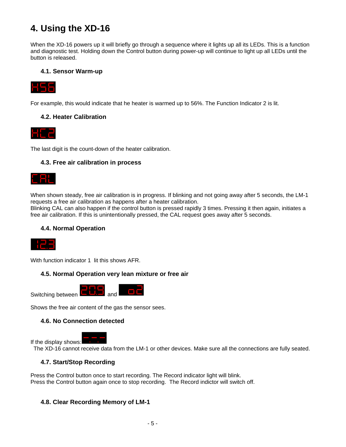# **4. Using the XD-16**

When the XD-16 powers up it will briefly go through a sequence where it lights up all its LEDs. This is a function and diagnostic test. Holding down the Control button during power-up will continue to light up all LEDs until the button is released.

### **4.1. Sensor Warm-up**



For example, this would indicate that he heater is warmed up to 56%. The Function Indicator 2 is lit.

## **4.2. Heater Calibration**



The last digit is the count-down of the heater calibration.

#### **4.3. Free air calibration in process**



When shown steady, free air calibration is in progress. If blinking and not going away after 5 seconds, the LM-1 requests a free air calibration as happens after a heater calibration.

Blinking CAL can also happen if the control button is pressed rapidly 3 times. Pressing it then again, initiates a free air calibration. If this is unintentionally pressed, the CAL request goes away after 5 seconds.

#### **4.4. Normal Operation**



With function indicator 1 lit this shows AFR.

#### **4.5. Normal Operation very lean mixture or free air**



Shows the free air content of the gas the sensor sees.

#### **4.6. No Connection detected**



The XD-16 cannot receive data from the LM-1 or other devices. Make sure all the connections are fully seated.

### **4.7. Start/Stop Recording**

Press the Control button once to start recording. The Record indicator light will blink. Press the Control button again once to stop recording. The Record indictor will switch off.

#### **4.8. Clear Recording Memory of LM-1**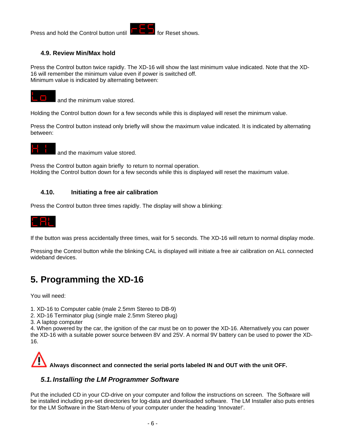

## **4.9. Review Min/Max hold**

Press the Control button twice rapidly. The XD-16 will show the last minimum value indicated. Note that the XD-16 will remember the minimum value even if power is switched off. Minimum value is indicated by alternating between:



and the minimum value stored.

Holding the Control button down for a few seconds while this is displayed will reset the minimum value.

Press the Control button instead only briefly will show the maximum value indicated. It is indicated by alternating between:



and the maximum value stored.

Press the Control button again briefly to return to normal operation. Holding the Control button down for a few seconds while this is displayed will reset the maximum value.

#### **4.10. Initiating a free air calibration**

Press the Control button three times rapidly. The display will show a blinking:



If the button was press accidentally three times, wait for 5 seconds. The XD-16 will return to normal display mode.

Pressing the Control button while the blinking CAL is displayed will initiate a free air calibration on ALL connected wideband devices.

# **5. Programming the XD-16**

You will need:

- 1. XD-16 to Computer cable (male 2.5mm Stereo to DB-9)
- 2. XD-16 Terminator plug (single male 2.5mm Stereo plug)

3. A laptop computer

4. When powered by the car, the ignition of the car must be on to power the XD-16. Alternatively you can power the XD-16 with a suitable power source between 8V and 25V. A normal 9V battery can be used to power the XD-16.



## *5.1. Installing the LM Programmer Software*

Put the included CD in your CD-drive on your computer and follow the instructions on screen. The Software will be installed including pre-set directories for log-data and downloaded software. The LM Installer also puts entries for the LM Software in the Start-Menu of your computer under the heading 'Innovate!'.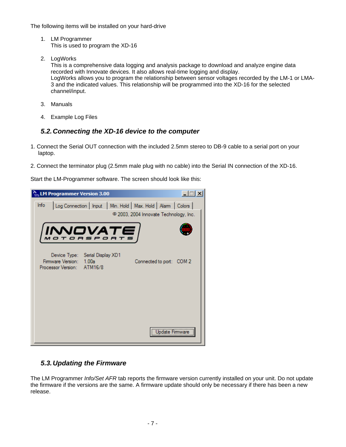The following items will be installed on your hard-drive

- 1. LM Programmer This is used to program the XD-16
- 2. LogWorks

This is a comprehensive data logging and analysis package to download and analyze engine data recorded with Innovate devices. It also allows real-time logging and display. LogWorks allows you to program the relationship between sensor voltages recorded by the LM-1 or LMA-3 and the indicated values. This relationship will be programmed into the XD-16 for the selected channel/input.

- 3. Manuals
- 4. Example Log Files

## *5.2. Connecting the XD-16 device to the computer*

- 1. Connect the Serial OUT connection with the included 2.5mm stereo to DB-9 cable to a serial port on your laptop.
- 2. Connect the terminator plug (2.5mm male plug with no cable) into the Serial IN connection of the XD-16.

Start the LM-Programmer software. The screen should look like this:



## *5.3. Updating the Firmware*

The LM Programmer *Info/Set AFR* tab reports the firmware version currently installed on your unit. Do not update the firmware if the versions are the same. A firmware update should only be necessary if there has been a new release.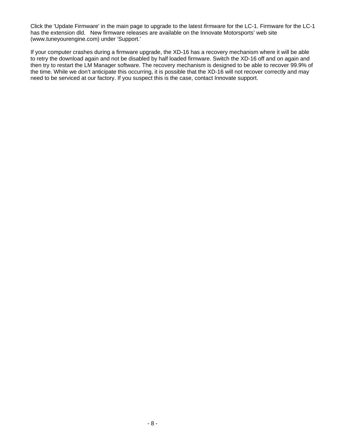Click the 'Update Firmware' in the main page to upgrade to the latest *firmware* for the LC-1. Firmware for the LC-1 has the extension dld. New firmware releases are available on the Innovate Motorsports' web site (www.tuneyourengine.com) under 'Support.'

If your computer crashes during a firmware upgrade, the XD-16 has a recovery mechanism where it will be able to retry the download again and not be disabled by half loaded firmware. Switch the XD-16 off and on again and then try to restart the LM Manager software. The recovery mechanism is designed to be able to recover 99.9% of the time. While we don't anticipate this occurring, it is possible that the XD-16 will not recover correctly and may need to be serviced at our factory. If you suspect this is the case, contact Innovate support.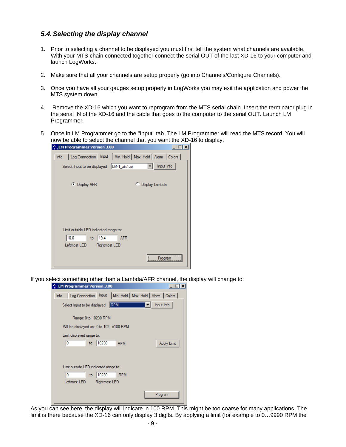## *5.4. Selecting the display channel*

- 1. Prior to selecting a channel to be displayed you must first tell the system what channels are available. With your MTS chain connected together connect the serial OUT of the last XD-16 to your computer and launch LogWorks.
- 2. Make sure that all your channels are setup properly (go into Channels/Configure Channels).
- 3. Once you have all your gauges setup properly in LogWorks you may exit the application and power the MTS system down.
- 4. Remove the XD-16 which you want to reprogram from the MTS serial chain. Insert the terminator plug in the serial IN of the XD-16 and the cable that goes to the computer to the serial OUT. Launch LM Programmer.
- 5. Once in LM Programmer go to the "Input" tab. The LM Programmer will read the MTS record. You will now be able to select the channel that you want the XD-16 to display.

|      | $\frac{R_{\text{m}}}{m}$ LM Programmer Version 3.00 |               |            |                                                                | $\times$ |
|------|-----------------------------------------------------|---------------|------------|----------------------------------------------------------------|----------|
| Info |                                                     |               |            | Log Connection   Input   Min. Hold   Max. Hold   Alam   Colors |          |
|      | Select Input to be displayed   LM-1_air/fuel        |               |            | Input Info                                                     |          |
|      |                                                     |               |            |                                                                |          |
|      | C Display AFR                                       |               |            | C Display Lambda                                               |          |
|      |                                                     |               |            |                                                                |          |
|      |                                                     |               |            |                                                                |          |
|      |                                                     |               |            |                                                                |          |
|      |                                                     |               |            |                                                                |          |
|      | Limit outside LED indicated range to:               |               |            |                                                                |          |
|      | 10.0<br>to                                          | 19.4          | <b>AFR</b> |                                                                |          |
|      | Leftmost LED                                        | Rightmost LED |            |                                                                |          |
|      |                                                     |               |            | Progran                                                        |          |

If you select something other than a Lambda/AFR channel, the display will change to:

|      | $\frac{R}{100}$ LM Programmer Version 3.00                     |               |            | $\times$           |
|------|----------------------------------------------------------------|---------------|------------|--------------------|
| Info | Log Connection   Input   Min. Hold   Max. Hold   Alam   Colors |               |            |                    |
|      | Select Input to be displayed                                   |               | <b>RPM</b> | Input Info         |
|      | Range: 0 to 10230 RPM                                          |               |            |                    |
|      | Will be displayed as: 0 to 102 x100 RPM                        |               |            |                    |
|      | Limit displayed range to:                                      |               |            |                    |
|      | 10<br>to                                                       | 10230         | <b>RPM</b> | <b>Apply Limit</b> |
|      |                                                                |               |            |                    |
|      |                                                                |               |            |                    |
|      | Limit outside LED indicated range to:                          |               |            |                    |
|      | 10<br>to                                                       | 10230         | <b>RPM</b> |                    |
|      | Leftmost LED                                                   | Rightmost LED |            |                    |
|      |                                                                |               |            | Program            |
|      |                                                                |               |            |                    |

As you can see here, the display will indicate in 100 RPM. This might be too coarse for many applications. The limit is there because the XD-16 can only display 3 digits. By applying a limit (for example to 0…9990 RPM the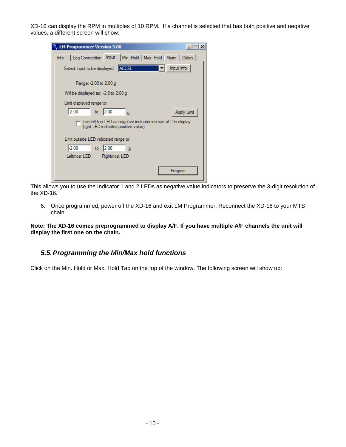XD-16 can display the RPM in multiples of 10 RPM. If a channel is selected that has both positive and negative values, a different screen will show:

| $\frac{R_{\rm o}}{m}$ LM Programmer Version 3.00                                                      |  |  |  |  |
|-------------------------------------------------------------------------------------------------------|--|--|--|--|
| Log Connection   Input   Min. Hold   Max. Hold   Alam   Colors  <br>Info                              |  |  |  |  |
| Input Info<br><b>ACCEL</b><br>Select Input to be displayed                                            |  |  |  |  |
| Range: -2.00 to 2.00 g                                                                                |  |  |  |  |
| Will be displayed as: -2.0 to 2.00 g                                                                  |  |  |  |  |
| Limit displayed range to:                                                                             |  |  |  |  |
| $-2.00$<br>2.00<br>to<br>Apply Limit<br>q                                                             |  |  |  |  |
| Use left top LED as negative indicator instead of "In display<br>(right LED indicates positive value) |  |  |  |  |
| Limit outside LED indicated range to:                                                                 |  |  |  |  |
| $-2.00$<br>12.00<br>to<br>q                                                                           |  |  |  |  |
| Leftmost LED<br>Rightmost LED                                                                         |  |  |  |  |
| Program                                                                                               |  |  |  |  |

This allows you to use the Indicator 1 and 2 LEDs as negative value indicators to preserve the 3-digit resolution of the XD-16.

6. Once programmed, power off the XD-16 and exit LM Programmer. Reconnect the XD-16 to your MTS chain.

**Note: The XD-16 comes preprogrammed to display A/F. If you have multiple A/F channels the unit will display the first one on the chain.** 

## *5.5. Programming the Min/Max hold functions*

Click on the Min. Hold or Max. Hold Tab on the top of the window. The following screen will show up: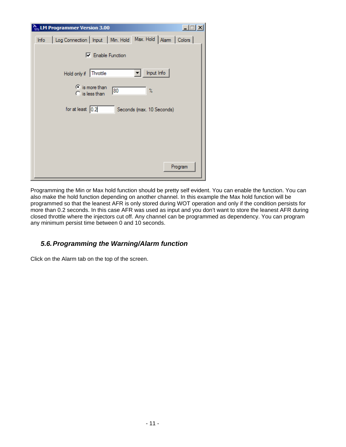| ፝፞፝፝፝፝፝<br><b>LM Programmer Version 3.00</b>                             |
|--------------------------------------------------------------------------|
| Log Connection   Input   Min. Hold   Max. Hold   Alam   Colors  <br>Info |
| <b>□</b> Enable Function                                                 |
| Input Info<br>Hold only if Throttle                                      |
| $\odot$ is more than<br>80<br>Ŷ.<br>$\bigcirc$ is less than              |
| for at least $0.2$<br>Seconds (max. 10 Seconds)                          |
|                                                                          |
|                                                                          |
|                                                                          |
| Program                                                                  |

Programming the Min or Max hold function should be pretty self evident. You can enable the function. You can also make the hold function depending on another channel. In this example the Max hold function will be programmed so that the leanest AFR is only stored during WOT operation and only if the condition persists for more than 0.2 seconds. In this case AFR was used as input and you don't want to store the leanest AFR during closed throttle where the injectors cut off. Any channel can be programmed as dependency. You can program any minimum persist time between 0 and 10 seconds.

## *5.6. Programming the Warning/Alarm function*

Click on the Alarm tab on the top of the screen.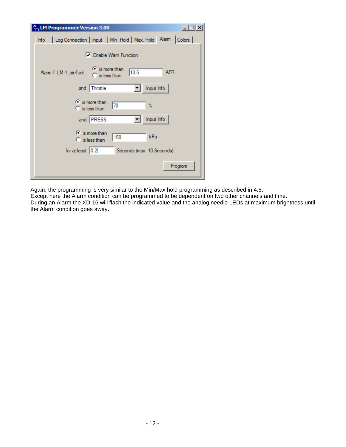| $\frac{R}{m}$ LM Programmer Version 3.00                                          | $\vert x \vert$ |
|-----------------------------------------------------------------------------------|-----------------|
| Log Connection   Input   Min. Hold   Max. Hold   Alam   Colors  <br>Info          |                 |
| □ Enable Wam Function                                                             |                 |
| $\bullet$ is more than<br>13.5<br>Alam if LM-1_air/fuel<br>$\bigcap$ is less than | <b>AFR</b>      |
| Input Info<br>and<br>Throttle                                                     |                 |
| $\odot$ is more than<br>70<br>$\%$<br>$\bigcap$ is less than                      |                 |
| and <b>PRESS</b><br>Input Info                                                    |                 |
| $\odot$ is more than<br>kPa<br>150<br>$\bigcirc$ is less than                     |                 |
| for at least $\sqrt{0.2}$<br>Seconds (max. 10 Seconds)                            |                 |
|                                                                                   | Program         |

Again, the programming is very similar to the Min/Max hold programming as described in 4.6.

Except here the Alarm condition can be programmed to be dependent on two other channels and time.

During an Alarm the XD-16 will flash the indicated value and the analog needle LEDs at maximum brightness until the Alarm condition goes away.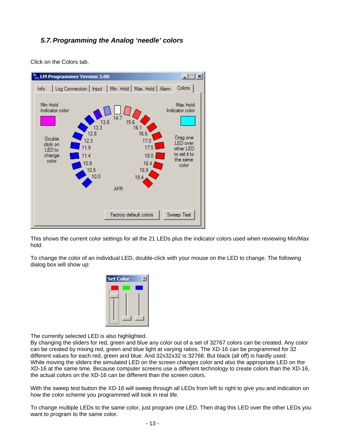## *5.7. Programming the Analog 'needle' colors*

Click on the Colors tab.



This shows the current color settings for all the 21 LEDs plus the indicator colors used when reviewing Min/Max hold.

To change the color of an individual LED, double-click with your mouse on the LED to change. The following dialog box will show up:



The currently selected LED is also highlighted.

By changing the sliders for red, green and blue any color out of a set of 32767 colors can be created. Any color can be created by mixing red, green and blue light at varying ratios. The XD-16 can be programmed for 32 different values for each red, green and blue. And 32x32x32 is 32768. But black (all off) is hardly used. While moving the sliders the simulated LED on the screen changes color and also the appropriate LED on the XD-16 at the same time. Because computer screens use a different technology to create colors than the XD-16, the actual colors on the XD-16 can be different than the screen colors.

With the sweep test button the XD-16 will sweep through all LEDs from left to right to give you and indication on how the color scheme you programmed will look in real life.

To change multiple LEDs to the same color, just program one LED. Then drag this LED over the other LEDs you want to program to the same color.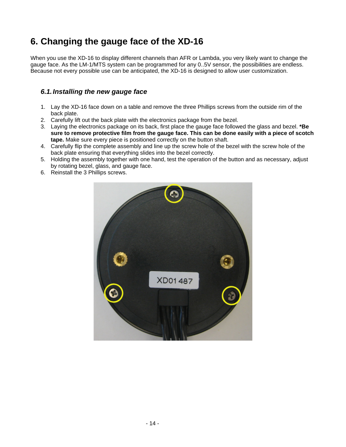# **6. Changing the gauge face of the XD-16**

When you use the XD-16 to display different channels than AFR or Lambda, you very likely want to change the gauge face. As the LM-1/MTS system can be programmed for any 0..5V sensor, the possibilities are endless. Because not every possible use can be anticipated, the XD-16 is designed to allow user customization.

## *6.1. Installing the new gauge face*

- 1. Lay the XD-16 face down on a table and remove the three Phillips screws from the outside rim of the back plate.
- 2. Carefully lift out the back plate with the electronics package from the bezel.
- 3. Laying the electronics package on its back, first place the gauge face followed the glass and bezel. **\*Be sure to remove protective film from the gauge face. This can be done easily with a piece of scotch tape.** Make sure every piece is positioned correctly on the button shaft.
- 4. Carefully flip the complete assembly and line up the screw hole of the bezel with the screw hole of the back plate ensuring that everything slides into the bezel correctly.
- 5. Holding the assembly together with one hand, test the operation of the button and as necessary, adjust by rotating bezel, glass, and gauge face.
- 6. Reinstall the 3 Phillips screws.

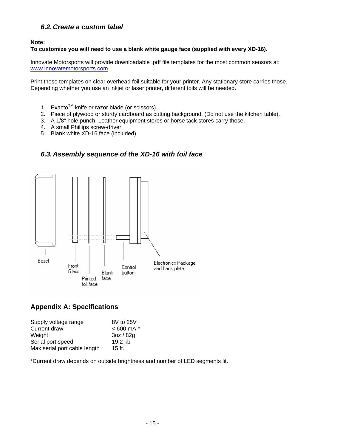## *6.2. Create a custom label*

#### **Note:**

#### **To customize you will need to use a blank white gauge face (supplied with every XD-16).**

Innovate Motorsports will provide downloadable .pdf file templates for the most common sensors at: www.innovatemotorsports.com.

Print these templates on clear overhead foil suitable for your printer. Any stationary store carries those. Depending whether you use an inkjet or laser printer, different foils will be needed.

- 1. Exacto™ knife or razor blade (or scissors)
- 2. Piece of plywood or sturdy cardboard as cutting background. (Do not use the kitchen table).
- 3. A 1/8" hole punch. Leather equipment stores or horse tack stores carry those.
- 4. A small Phillips screw-driver.
- 5. Blank white XD-16 face (included)

### *6.3. Assembly sequence of the XD-16 with foil face*



## **Appendix A: Specifications**

| Supply voltage range         | 8V to 25V      |
|------------------------------|----------------|
| Current draw                 | $< 600$ mA $*$ |
| Weight                       | 3oz / 82g      |
| Serial port speed            | 19.2 kb        |
| Max serial port cable length | 15 ft.         |

\*Current draw depends on outside brightness and number of LED segments lit.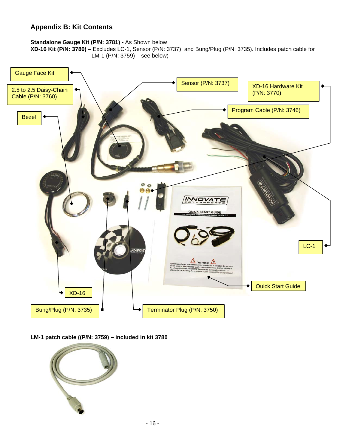## **Appendix B: Kit Contents**

#### **Standalone Gauge Kit (P/N: 3781) -** As Shown below

**XD-16 Kit (P/N: 3780) –** Excludes LC-1, Sensor (P/N: 3737), and Bung/Plug (P/N: 3735). Includes patch cable for LM-1 (P/N: 3759) – see below)



**LM-1 patch cable ((P/N: 3759) – included in kit 3780** 

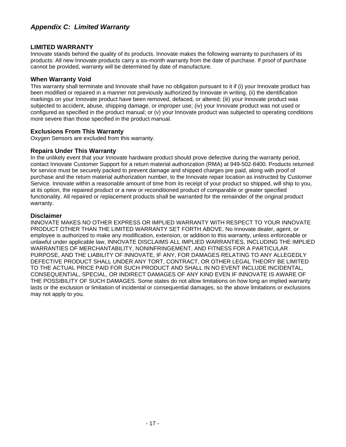## **LIMITED WARRANTY**

Innovate stands behind the quality of its products. Innovate makes the following warranty to purchasers of its products: All new Innovate products carry a six-month warranty from the date of purchase. If proof of purchase cannot be provided, warranty will be determined by date of manufacture.

#### **When Warranty Void**

This warranty shall terminate and Innovate shall have no obligation pursuant to it if (i) your Innovate product has been modified or repaired in a manner not previously authorized by Innovate in writing, (ii) the identification markings on your Innovate product have been removed, defaced, or altered; (iii) your Innovate product was subjected to accident, abuse, shipping damage, or improper use; (iv) your Innovate product was not used or configured as specified in the product manual; or (v) your Innovate product was subjected to operating conditions more severe than those specified in the product manual.

## **Exclusions From This Warranty**

Oxygen Sensors are excluded from this warranty.

#### **Repairs Under This Warranty**

In the unlikely event that your Innovate hardware product should prove defective during the warranty period, contact Innovate Customer Support for a return material authorization (RMA) at 949-502-8400. Products returned for service must be securely packed to prevent damage and shipped charges pre paid, along with proof of purchase and the return material authorization number, to the Innovate repair location as instructed by Customer Service. Innovate within a reasonable amount of time from its receipt of your product so shipped, will ship to you, at its option, the repaired product or a new or reconditioned product of comparable or greater specified functionality. All repaired or replacement products shall be warranted for the remainder of the original product warranty.

#### **Disclaimer**

INNOVATE MAKES NO OTHER EXPRESS OR IMPLIED WARRANTY WITH RESPECT TO YOUR INNOVATE PRODUCT OTHER THAN THE LIMITED WARRANTY SET FORTH ABOVE. No Innovate dealer, agent, or employee is authorized to make any modification, extension, or addition to this warranty, unless enforceable or unlawful under applicable law, INNOVATE DISCLAIMS ALL IMPLIED WARRANTIES, INCLUDING THE IMPLIED WARRANTIES OF MERCHANTABILITY, NONINFRINGEMENT, AND FITNESS FOR A PARTICULAR PURPOSE, AND THE LIABILITY OF INNOVATE, IF ANY, FOR DAMAGES RELATING TO ANY ALLEGEDLY DEFECTIVE PRODUCT SHALL UNDER ANY TORT, CONTRACT, OR OTHER LEGAL THEORY BE LIMITED TO THE ACTUAL PRICE PAID FOR SUCH PRODUCT AND SHALL IN NO EVENT INCLUDE INCIDENTAL, CONSEQUENTIAL, SPECIAL, OR INDIRECT DAMAGES OF ANY KIND EVEN IF INNOVATE IS AWARE OF THE POSSIBILITY OF SUCH DAMAGES. Some states do not allow limitations on how long an implied warranty lasts or the exclusion or limitation of incidental or consequential damages, so the above limitations or exclusions may not apply to you.